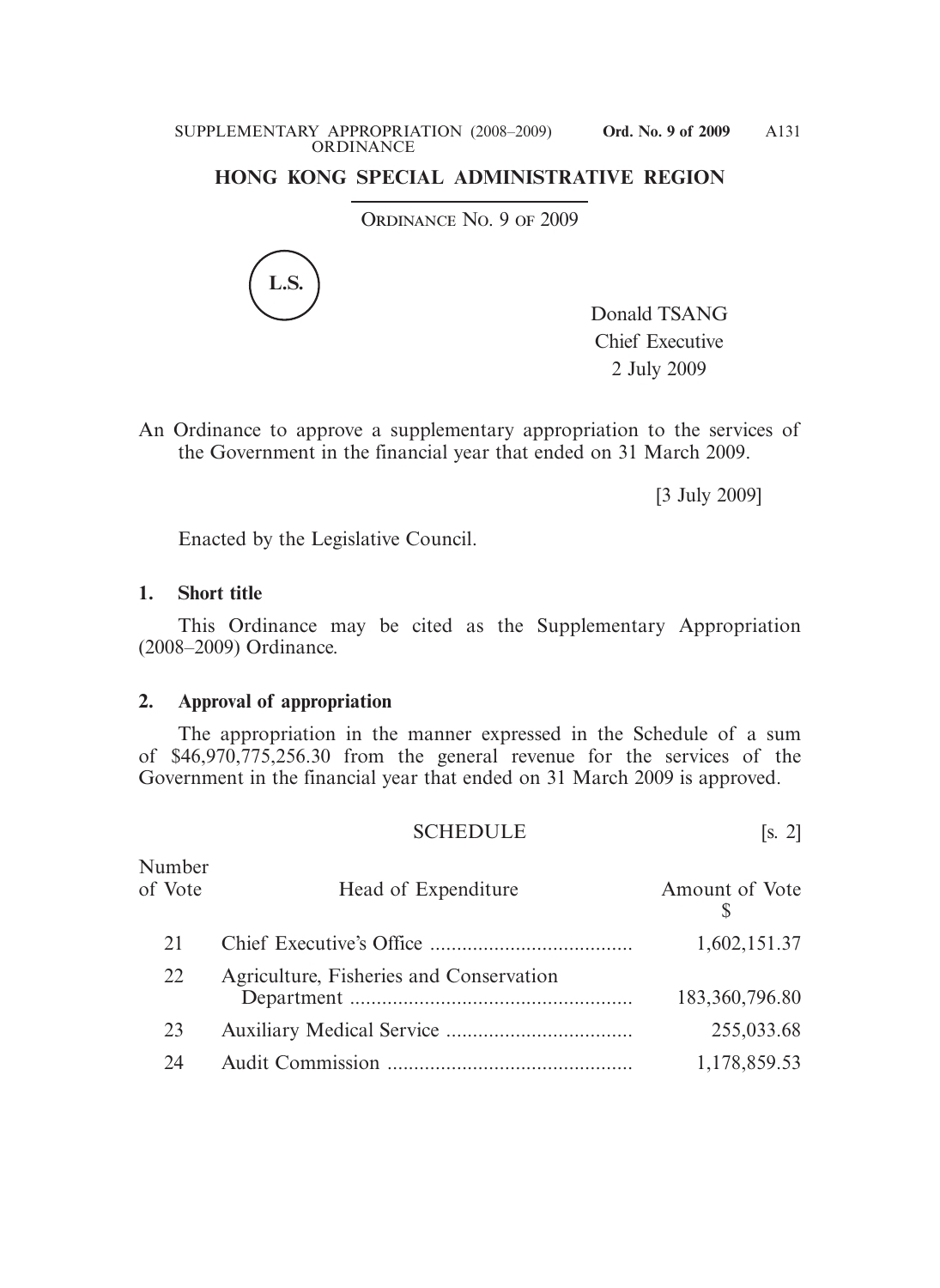## **HONG KONG SPECIAL ADMINISTRATIVE REGION**

ORDINANCE No. 9 OF 2009



Donald TSANG Chief Executive 2 July 2009

An Ordinance to approve a supplementary appropriation to the services of the Government in the financial year that ended on 31 March 2009.

[3 July 2009]

Enacted by the Legislative Council.

## **1. Short title**

 This Ordinance may be cited as the Supplementary Appropriation (2008–2009) Ordinance.

## **2. Approval of appropriation**

 The appropriation in the manner expressed in the Schedule of a sum of \$46,970,775,256.30 from the general revenue for the services of the Government in the financial year that ended on 31 March 2009 is approved.

| <b>SCHEDULE</b><br>. ت |  |  |  |  |
|------------------------|--|--|--|--|
|------------------------|--|--|--|--|

| Number<br>of Vote | Head of Expenditure                     | Amount of Vote |
|-------------------|-----------------------------------------|----------------|
| 21                |                                         | 1,602,151.37   |
| 22                | Agriculture, Fisheries and Conservation | 183,360,796.80 |
| 23                |                                         | 255,033.68     |
| 24                |                                         | 1,178,859.53   |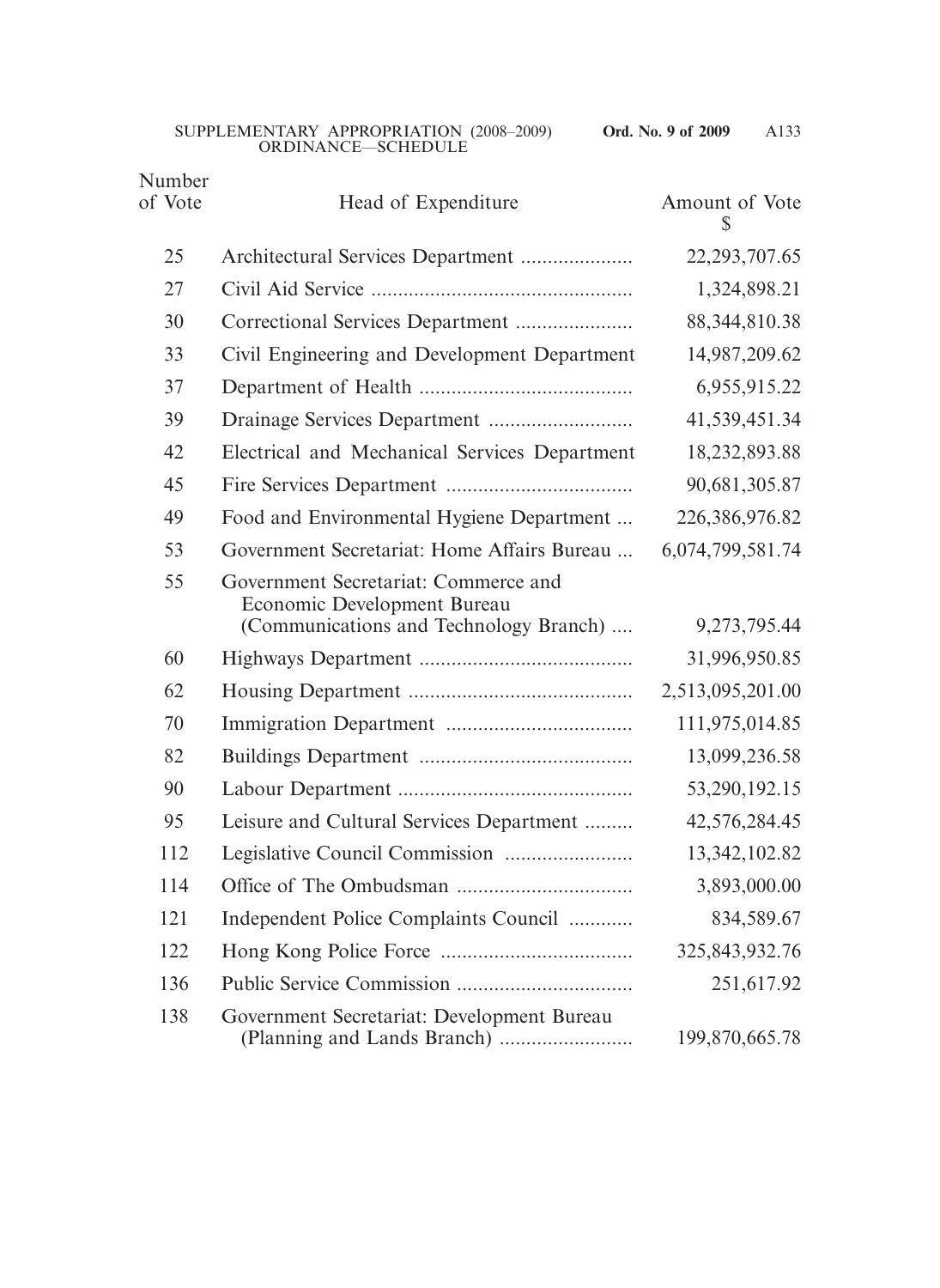| Number<br>of Vote | Head of Expenditure                                                                                           | Amount of Vote<br>S |
|-------------------|---------------------------------------------------------------------------------------------------------------|---------------------|
| 25                | Architectural Services Department                                                                             | 22, 293, 707. 65    |
| 27                |                                                                                                               | 1,324,898.21        |
| 30                | Correctional Services Department                                                                              | 88, 344, 810. 38    |
| 33                | Civil Engineering and Development Department                                                                  | 14,987,209.62       |
| 37                |                                                                                                               | 6,955,915.22        |
| 39                |                                                                                                               | 41,539,451.34       |
| 42                | Electrical and Mechanical Services Department                                                                 | 18,232,893.88       |
| 45                |                                                                                                               | 90,681,305.87       |
| 49                | Food and Environmental Hygiene Department                                                                     | 226,386,976.82      |
| 53                | Government Secretariat: Home Affairs Bureau                                                                   | 6,074,799,581.74    |
| 55                | Government Secretariat: Commerce and<br>Economic Development Bureau<br>(Communications and Technology Branch) | 9,273,795.44        |
| 60                |                                                                                                               | 31,996,950.85       |
| 62                |                                                                                                               | 2,513,095,201.00    |
| 70                |                                                                                                               | 111,975,014.85      |
| 82                |                                                                                                               | 13,099,236.58       |
| 90                |                                                                                                               | 53,290,192.15       |
| 95                | Leisure and Cultural Services Department                                                                      | 42,576,284.45       |
| 112               |                                                                                                               | 13, 342, 102.82     |
| 114               |                                                                                                               | 3,893,000.00        |
| 121               | Independent Police Complaints Council                                                                         | 834,589.67          |
| 122               |                                                                                                               | 325, 843, 932. 76   |
| 136               |                                                                                                               | 251,617.92          |
| 138               | Government Secretariat: Development Bureau                                                                    | 199,870,665.78      |